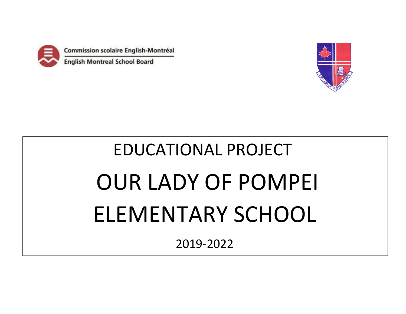

Commission scolaire English-Montréal

**English Montreal School Board** 



# EDUCATIONAL PROJECT OUR LADY OF POMPEI ELEMENTARY SCHOOL

2019-2022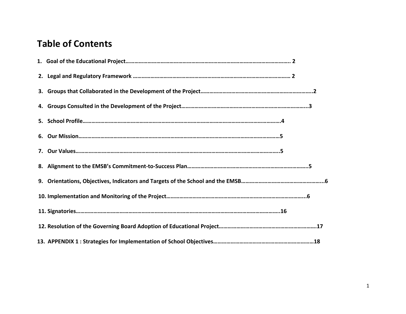## **Table of Contents**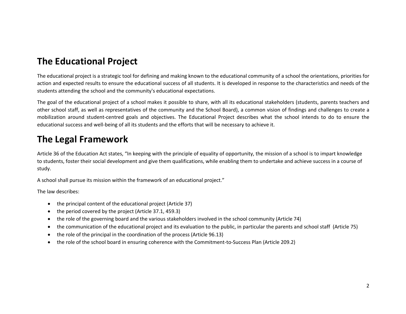## **The Educational Project**

The educational project is a strategic tool for defining and making known to the educational community of a school the orientations, priorities for action and expected results to ensure the educational success of all students. It is developed in response to the characteristics and needs of the students attending the school and the community's educational expectations.

The goal of the educational project of a school makes it possible to share, with all its educational stakeholders (students, parents teachers and other school staff, as well as representatives of the community and the School Board), a common vision of findings and challenges to create a mobilization around student-centred goals and objectives. The Educational Project describes what the school intends to do to ensure the educational success and well-being of all its students and the efforts that will be necessary to achieve it.

## **The Legal Framework**

Article 36 of the Education Act states, "In keeping with the principle of equality of opportunity, the mission of a school is to impart knowledge to students, foster their social development and give them qualifications, while enabling them to undertake and achieve success in a course of study.

A school shall pursue its mission within the framework of an educational project."

The law describes:

- the principal content of the educational project (Article 37)
- the period covered by the project (Article 37.1, 459.3)
- the role of the governing board and the various stakeholders involved in the school community (Article 74)
- the communication of the educational project and its evaluation to the public, in particular the parents and school staff (Article 75)
- the role of the principal in the coordination of the process (Article 96.13)
- the role of the school board in ensuring coherence with the Commitment-to-Success Plan (Article 209.2)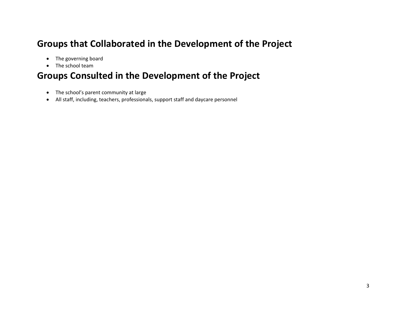## **Groups that Collaborated in the Development of the Project**

- The governing board
- The school team

## **Groups Consulted in the Development of the Project**

- The school's parent community at large
- All staff, including, teachers, professionals, support staff and daycare personnel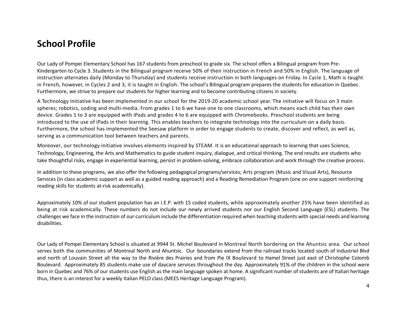## **School Profile**

Our Lady of Pompei Elementary School has 167 students from preschool to grade six. The school offers a Bilingual program from Pre-Kindergarten to Cycle 3. Students in the Bilingual program receive 50% of their instruction in French and 50% in English. The language of instruction alternates daily (Monday to Thursday) and students receive instruction in both languages on Friday. In Cycle 1, Math is taught in French, however, in Cycles 2 and 3, it is taught in English. The school's Bilingual program prepares the students for education in Quebec. Furthermore, we strive to prepare our students for higher learning and to become contributing citizens in society.

A Technology Initiative has been implemented in our school for the 2019-20 academic school year. The initiative will focus on 3 main spheres; robotics, coding and multi-media. From grades 1 to 6 we have one to one classrooms, which means each child has their own device. Grades 1 to 3 are equipped with iPads and grades 4 to 6 are equipped with Chromebooks. Preschool students are being introduced to the use of iPads in their learning. This enables teachers to integrate technology into the curriculum on a daily basis. Furthermore, the school has implemented the Seesaw platform in order to engage students to create, discover and reflect, as well as, serving as a communication tool between teachers and parents.

Moreover, our technology initiative involves elements inspired by STEAM. It is an educational approach to learning that uses Science, Technology, Engineering, the Arts and Mathematics to guide student inquiry, dialogue, and critical thinking. The end results are students who take thoughtful risks, engage in experiential learning, persist in problem-solving, embrace collaboration and work through the creative process.

In addition to these programs, we also offer the following pedagogical programs/services; Arts program (Music and Visual Arts), Resource Services (in class academic support as well as a guided reading approach) and a Reading Remediation Program (one on one support reinforcing reading skills for students at-risk academically).

Approximately 10% of our student population has an I.E.P. with 15 coded students, while approximately another 25% have been identified as being at risk academically. These numbers do not include our newly arrived students nor our English Second Language (ESL) students. The challenges we face in the instruction of our curriculum include the differentiation required when teaching students with special needs and learning disabilities.

Our Lady of Pompei Elementary School is situated at 9944 St. Michel Boulevard in Montreal North bordering on the Ahuntsic area. Our school serves both the communities of Montreal North and Ahuntsic. Our boundaries extend from the railroad tracks located south of Industriel Blvd and north of Louvain Street all the way to the Rivière des Prairies and from Pie IX Boulevard to Hamel Street just east of Christophe Colomb Boulevard. Approximately 85 students make use of daycare services throughout the day. Approximately 91% of the children in the school were born in Quebec and 76% of our students use English as the main language spoken at home. A significant number of students are of Italian heritage thus, there is an interest for a weekly Italian PELO class (MEES Heritage Language Program).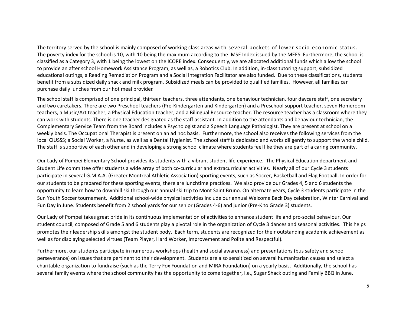The territory served by the school is mainly composed of working class areas with several pockets of lower socio-economic status. The poverty index for the school is 10, with 10 being the maximum according to the IMSE Index issued by the MEES. Furthermore, the school is classified as a Category 3, with 1 being the lowest on the ICORE index. Consequently, we are allocated additional funds which allow the school to provide an after school Homework Assistance Program, as well as, a Robotics Club. In addition, in-class tutoring support, subsidized educational outings, a Reading Remediation Program and a Social Integration Facilitator are also funded. Due to these classifications, students benefit from a subsidized daily snack and milk program. Subsidized meals can be provided to qualified families. However, all families can purchase daily lunches from our hot meal provider.

The school staff is comprised of one principal, thirteen teachers, three attendants, one behaviour technician, four daycare staff, one secretary and two caretakers. There are two Preschool teachers (Pre-Kindergarten and Kindergarten) and a Preschool support teacher, seven Homeroom teachers, a Music/Art teacher, a Physical Education teacher, and a Bilingual Resource teacher. The resource teacher has a classroom where they can work with students. There is one teacher designated as the staff assistant. In addition to the attendants and behaviour technician, the Complementary Service Team from the Board includes a Psychologist and a Speech Language Pathologist. They are present at school on a weekly basis. The Occupational Therapist is present on an ad hoc basis. Furthermore, the school also receives the following services from the local CIUSSS; a Social Worker, a Nurse, as well as a Dental Hygienist. The school staff is dedicated and works diligently to support the whole child. The staff is supportive of each other and in developing a strong school climate where students feel like they are part of a caring community.

Our Lady of Pompei Elementary School provides its students with a vibrant student life experience. The Physical Education department and Student Life committee offer students a wide array of both co-curricular and extracurricular activities. Nearly all of our Cycle 3 students participate in several G.M.A.A. (Greater Montreal Athletic Association) sporting events, such as Soccer, Basketball and Flag Football. In order for our students to be prepared for these sporting events, there are lunchtime practices. We also provide our Grades 4, 5 and 6 students the opportunity to learn how to downhill ski through our annual ski trip to Mont Saint Bruno. On alternate years, Cycle 3 students participate in the Sun Youth Soccer tournament. Additional school-wide physical activities include our annual Welcome Back Day celebration, Winter Carnival and Fun Day in June. Students benefit from 2 school yards for our senior (Grades 4-6) and junior (Pre-K to Grade 3) students.

Our Lady of Pompei takes great pride in its continuous implementation of activities to enhance student life and pro-social behaviour. Our student council, composed of Grade 5 and 6 students play a pivotal role in the organization of Cycle 3 dances and seasonal activities. This helps promotes their leadership skills amongst the student body. Each term, students are recognized for their outstanding academic achievement as well as for displaying selected virtues (Team Player, Hard Worker, Improvement and Polite and Respectful).

Furthermore, our students participate in numerous workshops (health and social awareness) and presentations (bus safety and school perseverance) on issues that are pertinent to their development. Students are also sensitized on several humanitarian causes and select a charitable organization to fundraise (such as the Terry Fox Foundation and MIRA Foundation) on a yearly basis. Additionally, the school has several family events where the school community has the opportunity to come together, i.e., Sugar Shack outing and Family BBQ in June.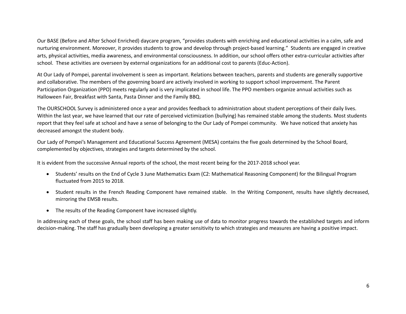Our BASE (Before and After School Enriched) daycare program, "provides students with enriching and educational activities in a calm, safe and nurturing environment. Moreover, it provides students to grow and develop through project-based learning." Students are engaged in creative arts, physical activities, media awareness, and environmental consciousness. In addition, our school offers other extra-curricular activities after school. These activities are overseen by external organizations for an additional cost to parents (Educ-Action).

At Our Lady of Pompei, parental involvement is seen as important. Relations between teachers, parents and students are generally supportive and collaborative. The members of the governing board are actively involved in working to support school improvement. The Parent Participation Organization (PPO) meets regularly and is very implicated in school life. The PPO members organize annual activities such as Halloween Fair, Breakfast with Santa, Pasta Dinner and the Family BBQ.

The OURSCHOOL Survey is administered once a year and provides feedback to administration about student perceptions of their daily lives. Within the last year, we have learned that our rate of perceived victimization (bullying) has remained stable among the students. Most students report that they feel safe at school and have a sense of belonging to the Our Lady of Pompei community. We have noticed that anxiety has decreased amongst the student body.

Our Lady of Pompei's Management and Educational Success Agreement (MESA) contains the five goals determined by the School Board, complemented by objectives, strategies and targets determined by the school.

It is evident from the successive Annual reports of the school, the most recent being for the 2017-2018 school year.

- Students' results on the End of Cycle 3 June Mathematics Exam (C2: Mathematical Reasoning Component) for the Bilingual Program fluctuated from 2015 to 2018.
- Student results in the French Reading Component have remained stable. In the Writing Component, results have slightly decreased, mirroring the EMSB results.
- The results of the Reading Component have increased slightly.

In addressing each of these goals, the school staff has been making use of data to monitor progress towards the established targets and inform decision-making. The staff has gradually been developing a greater sensitivity to which strategies and measures are having a positive impact.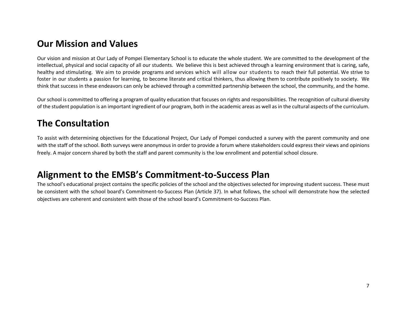## **Our Mission and Values**

Our vision and mission at Our Lady of Pompei Elementary School is to educate the whole student. We are committed to the development of the intellectual, physical and social capacity of all our students. We believe this is best achieved through a learning environment that is caring, safe, healthy and stimulating. We aim to provide programs and services which will allow our students to reach their full potential. We strive to foster in our students a passion for learning, to become literate and critical thinkers, thus allowing them to contribute positively to society. We think that success in these endeavors can only be achieved through a committed partnership between the school, the community, and the home.

Our school is committed to offering a program of quality education that focuses on rights and responsibilities. The recognition of cultural diversity of the student population is an important ingredient of our program, both in the academic areas as well as in the cultural aspects of the curriculum.

## **The Consultation**

To assist with determining objectives for the Educational Project, Our Lady of Pompei conducted a survey with the parent community and one with the staff of the school. Both surveys were anonymous in order to provide a forum where stakeholders could express their views and opinions freely. A major concern shared by both the staff and parent community is the low enrollment and potential school closure.

## **Alignment to the EMSB's Commitment-to-Success Plan**

The school's educational project contains the specific policies of the school and the objectives selected for improving student success. These must be consistent with the school board's Commitment-to-Success Plan (Article 37). In what follows, the school will demonstrate how the selected objectives are coherent and consistent with those of the school board's Commitment-to-Success Plan.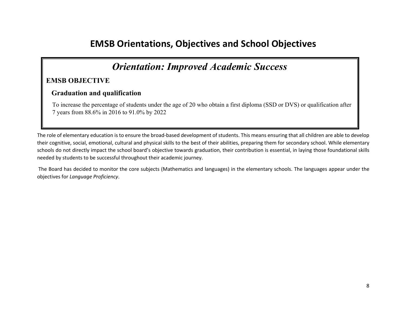## **EMSB Orientations, Objectives and School Objectives**

## *Orientation: Improved Academic Success*

#### **EMSB OBJECTIVE**

#### **Graduation and qualification**

 To increase the percentage of students under the age of 20 who obtain a first diploma (SSD or DVS) or qualification after 7 years from 88.6% in 2016 to 91.0% by 2022

The role of elementary education is to ensure the broad-based development of students. This means ensuring that all children are able to develop their cognitive, social, emotional, cultural and physical skills to the best of their abilities, preparing them for secondary school. While elementary schools do not directly impact the school board's objective towards graduation, their contribution is essential, in laying those foundational skills needed by students to be successful throughout their academic journey.

The Board has decided to monitor the core subjects (Mathematics and languages) in the elementary schools. The languages appear under the objectives for *Language Proficiency*.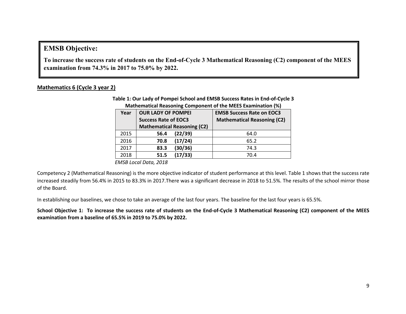#### **EMSB Objective:**

**To increase the success rate of students on the End-of-Cycle 3 Mathematical Reasoning (C2) component of the MEES examination from 74.3% in 2017 to 75.0% by 2022.**

#### **Mathematics 6 (Cycle 3 year 2)**

**Table 1: Our Lady of Pompei School and EMSB Success Rates in End-of-Cycle 3 Mathematical Reasoning Component of the MEES Examination (%)**

| Year | <b>OUR LADY OF POMPEI</b>          | <b>EMSB Success Rate on EOC3</b>   |
|------|------------------------------------|------------------------------------|
|      | <b>Success Rate of EOC3</b>        | <b>Mathematical Reasoning (C2)</b> |
|      | <b>Mathematical Reasoning (C2)</b> |                                    |
| 2015 | (22/39)<br>56.4                    | 64.0                               |
| 2016 | (17/24)<br>70.8                    | 65.2                               |
| 2017 | (30/36)<br>83.3                    | 74.3                               |
| 2018 | (17/33)<br>51.5                    | 70.4                               |

*EMSB Local Data, 2018*

Competency 2 (Mathematical Reasoning) is the more objective indicator of student performance at this level. Table 1 shows that the success rate increased steadily from 56.4% in 2015 to 83.3% in 2017.There was a significant decrease in 2018 to 51.5%. The results of the school mirror those of the Board.

In establishing our baselines, we chose to take an average of the last four years. The baseline for the last four years is 65.5%.

**School Objective 1: To increase the success rate of students on the End-of-Cycle 3 Mathematical Reasoning (C2) component of the MEES examination from a baseline of 65.5% in 2019 to 75.0% by 2022.**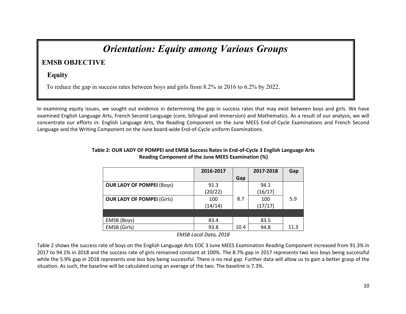## *Orientation: Equity among Various Groups*

### **EMSB OBJECTIVE**

#### **Equity**

To reduce the gap in success rates between boys and girls from 8.2% in 2016 to 6.2% by 2022.

In examining equity issues, we sought out evidence in determining the gap in success rates that may exist between boys and girls. We have examined English Language Arts, French Second Language (core, bilingual and immersion) and Mathematics. As a result of our analysis, we will concentrate our efforts in: English Language Arts, the Reading Component on the June MEES End-of-Cycle Examinations and French Second Language and the Writing Component on the June board-wide End-of-Cycle uniform Examinations.

|                                   | 2016-2017 |      | 2017-2018 | Gap  |
|-----------------------------------|-----------|------|-----------|------|
|                                   |           | Gap  |           |      |
| <b>OUR LADY OF POMPEI (Boys)</b>  | 91.3      |      | 94.1      |      |
|                                   | (20/22)   |      | (16/17)   |      |
| <b>OUR LADY OF POMPEI (Girls)</b> | 100       | 8.7  | 100       | 5.9  |
|                                   | (14/14)   |      | (17/17)   |      |
|                                   |           |      |           |      |
| EMSB (Boys)                       | 83.4      |      | 83.5      |      |
| EMSB (Girls)                      | 93.8      | 10.4 | 94.8      | 11.3 |

#### **Table 2: OUR LADY OF POMPEI and EMSB Success Rates in End-of-Cycle 3 English Language Arts Reading Component of the June MEES Examination (%)**

*EMSB Local Data, 2018*

Table 2 shows the success rate of boys on the English Language Arts EOC 3 June MEES Examination Reading Component increased from 91.3% in 2017 to 94.1% in 2018 and the success rate of girls remained constant at 100%. The 8.7% gap in 2017 represents two less boys being successful while the 5.9% gap in 2018 represents one less boy being successful. There is no real gap. Further data will allow us to gain a better grasp of the situation. As such, the baseline will be calculated using an average of the two. The baseline is 7.3%.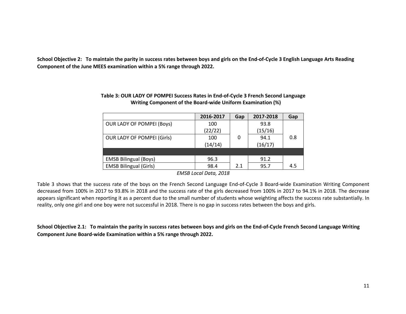**School Objective 2: To maintain the parity in success rates between boys and girls on the End-of-Cycle 3 English Language Arts Reading Component of the June MEES examination within a 5% range through 2022.** 

|                                   | 2016-2017 | Gap | 2017-2018 | Gap |
|-----------------------------------|-----------|-----|-----------|-----|
| <b>OUR LADY OF POMPEI (Boys)</b>  | 100       |     | 93.8      |     |
|                                   | (22/22)   |     | (15/16)   |     |
| <b>OUR LADY OF POMPEI (Girls)</b> | 100       | 0   | 94.1      | 0.8 |
|                                   | (14/14)   |     | (16/17)   |     |
|                                   |           |     |           |     |
| <b>EMSB Bilingual (Boys)</b>      | 96.3      |     | 91.2      |     |
| <b>EMSB Bilingual (Girls)</b>     | 98.4      | 2.1 | 95.7      | 4.5 |

#### **Table 3: OUR LADY OF POMPEI Success Rates in End-of-Cycle 3 French Second Language Writing Component of the Board-wide Uniform Examination (%)**

*EMSB Local Data, 2018*

Table 3 shows that the success rate of the boys on the French Second Language End-of-Cycle 3 Board-wide Examination Writing Component decreased from 100% in 2017 to 93.8% in 2018 and the success rate of the girls decreased from 100% in 2017 to 94.1% in 2018. The decrease appears significant when reporting it as a percent due to the small number of students whose weighting affects the success rate substantially. In reality, only one girl and one boy were not successful in 2018. There is no gap in success rates between the boys and girls.

**School Objective 2.1: To maintain the parity in success rates between boys and girls on the End-of-Cycle French Second Language Writing Component June Board-wide Examination within a 5% range through 2022.**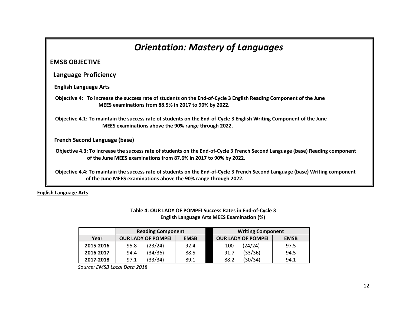## *Orientation: Mastery of Languages* **EMSB OBJECTIVE Language Proficiency English Language Arts Objective 4: To increase the success rate of students on the End-of-Cycle 3 English Reading Component of the June MEES examinations from 88.5% in 2017 to 90% by 2022. Objective 4.1: To maintain the success rate of students on the End-of-Cycle 3 English Writing Component of the June MEES examinations above the 90% range through 2022. French Second Language (base) Objective 4.3: To increase the success rate of students on the End-of-Cycle 3 French Second Language (base) Reading component of the June MEES examinations from 87.6% in 2017 to 90% by 2022. Objective 4.4: To maintain the success rate of students on the End-of-Cycle 3 French Second Language (base) Writing component of the June MEES examinations above the 90% range through 2022.**

**English Language Arts**

#### **Table 4: OUR LADY OF POMPEI Success Rates in End-of-Cycle 3 English Language Arts MEES Examination (%)**

|           | <b>Reading Component</b>                 |         |      | <b>Writing Component</b>  |             |      |
|-----------|------------------------------------------|---------|------|---------------------------|-------------|------|
| Year      | <b>OUR LADY OF POMPEI</b><br><b>EMSB</b> |         |      | <b>OUR LADY OF POMPEI</b> | <b>EMSB</b> |      |
| 2015-2016 | 95.8                                     | (23/24) | 92.4 | 100                       | (24/24)     | 97.5 |
| 2016-2017 | 94.4                                     | (34/36) | 88.5 | 91.7                      | (33/36)     | 94.5 |
| 2017-2018 | 97.1                                     | (33/34) | 89.1 | 88.2                      | (30/34)     | 94.1 |

 *Source: EMSB Local Data 2018*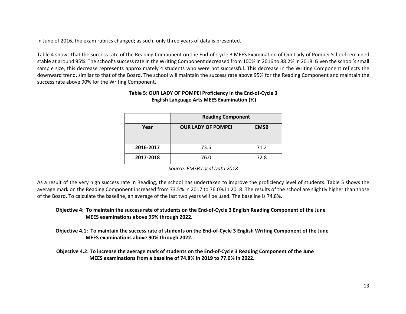In June of 2016, the exam rubrics changed; as such, only three years of data is presented.

Table 4 shows that the success rate of the Reading Component on the End-of-Cycle 3 MEES Examination of Our Lady of Pompei School remained stable at around 95%. The school's success rate in the Writing Component decreased from 100% in 2016 to 88.2% in 2018. Given the school's small sample size, this decrease represents approximately 4 students who were not successful. This decrease in the Writing Component reflects the downward trend, similar to that of the Board. The school will maintain the success rate above 95% for the Reading Component and maintain the success rate above 90% for the Writing Component.

|           | <b>Reading Component</b>  |             |  |  |
|-----------|---------------------------|-------------|--|--|
| Year      | <b>OUR LADY OF POMPEI</b> | <b>EMSB</b> |  |  |
| 2016-2017 | 73.5                      | 71.2        |  |  |
| 2017-2018 | 72.8<br>76.0              |             |  |  |

#### **Table 5: OUR LADY OF POMPEI Proficiency in the End-of-Cycle 3 English Language Arts MEES Examination (%)**

*Source: EMSB Local Data 2018*

As a result of the very high success rate in Reading, the school has undertaken to improve the proficiency level of students. Table 5 shows the average mark on the Reading Component increased from 73.5% in 2017 to 76.0% in 2018. The results of the school are slightly higher than those of the Board. To calculate the baseline, an average of the last two years will be used. The baseline is 74.8%.

**Objective 4: To maintain the success rate of students on the End-of-Cycle 3 English Reading Component of the June MEES examinations above 95% through 2022.**

**Objective 4.1: To maintain the success rate of students on the End-of-Cycle 3 English Writing Component of the June MEES examinations above 90% through 2022.**

 **Objective 4.2: To increase the average mark of students on the End-of-Cycle 3 Reading Component of the June MEES examinations from a baseline of 74.8% in 2019 to 77.0% in 2022.**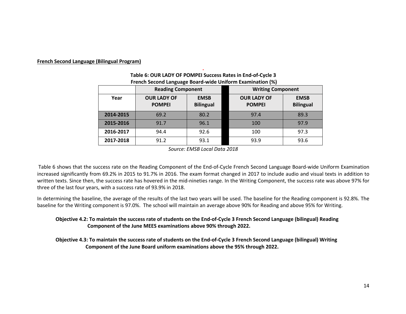#### **French Second Language (Bilingual Program)**

|           | <b>Reading Component</b>            |                                 | <b>Writing Component</b>                                               |      |  |
|-----------|-------------------------------------|---------------------------------|------------------------------------------------------------------------|------|--|
| Year      | <b>OUR LADY OF</b><br><b>POMPEI</b> | <b>EMSB</b><br><b>Bilingual</b> | <b>OUR LADY OF</b><br><b>EMSB</b><br><b>POMPEI</b><br><b>Bilingual</b> |      |  |
| 2014-2015 | 69.2                                | 80.2                            | 97.4                                                                   | 89.3 |  |
| 2015-2016 | 91.7                                | 96.1                            | 100                                                                    | 97.9 |  |
| 2016-2017 | 94.4                                | 92.6                            | 100                                                                    | 97.3 |  |
| 2017-2018 | 91.2                                | 93.1                            | 93.9                                                                   | 93.6 |  |

#### **. Table 6: OUR LADY OF POMPEI Success Rates in End-of-Cycle 3 French Second Language Board-wide Uniform Examination (%)**

*Source: EMSB Local Data 2018*

Table 6 shows that the success rate on the Reading Component of the End-of-Cycle French Second Language Board-wide Uniform Examination increased significantly from 69.2% in 2015 to 91.7% in 2016. The exam format changed in 2017 to include audio and visual texts in addition to written texts. Since then, the success rate has hovered in the mid-nineties range. In the Writing Component, the success rate was above 97% for three of the last four years, with a success rate of 93.9% in 2018.

In determining the baseline, the average of the results of the last two years will be used. The baseline for the Reading component is 92.8%. The baseline for the Writing component is 97.0%. The school will maintain an average above 90% for Reading and above 95% for Writing.

#### **Objective 4.2: To maintain the success rate of students on the End-of-Cycle 3 French Second Language (bilingual) Reading Component of the June MEES examinations above 90% through 2022.**

**Objective 4.3: To maintain the success rate of students on the End-of-Cycle 3 French Second Language (bilingual) Writing Component of the June Board uniform examinations above the 95% through 2022.**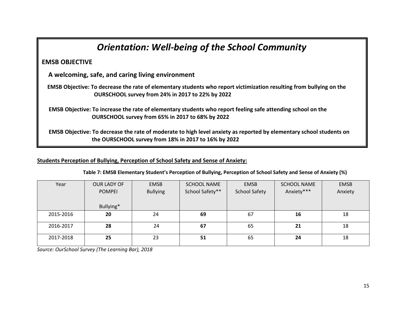| <b>Orientation: Well-being of the School Community</b>                                                                                                                      |
|-----------------------------------------------------------------------------------------------------------------------------------------------------------------------------|
| <b>EMSB OBJECTIVE</b>                                                                                                                                                       |
| A welcoming, safe, and caring living environment                                                                                                                            |
| EMSB Objective: To decrease the rate of elementary students who report victimization resulting from bullying on the<br>OURSCHOOL survey from 24% in 2017 to 22% by 2022     |
| EMSB Objective: To increase the rate of elementary students who report feeling safe attending school on the<br>OURSCHOOL survey from 65% in 2017 to 68% by 2022             |
| EMSB Objective: To decrease the rate of moderate to high level anxiety as reported by elementary school students on<br>the OURSCHOOL survey from 18% in 2017 to 16% by 2022 |

**Students Perception of Bullying, Perception of School Safety and Sense of Anxiety:**

| Year      | OUR LADY OF   | <b>EMSB</b>     | <b>SCHOOL NAME</b> | <b>EMSB</b>          | <b>SCHOOL NAME</b> | <b>EMSB</b> |
|-----------|---------------|-----------------|--------------------|----------------------|--------------------|-------------|
|           | <b>POMPEI</b> | <b>Bullying</b> | School Safety**    | <b>School Safety</b> | Anxiety***         | Anxiety     |
|           |               |                 |                    |                      |                    |             |
|           | Bullying*     |                 |                    |                      |                    |             |
| 2015-2016 | 20            | 24              | 69                 | 67                   | 16                 | 18          |
|           |               |                 |                    |                      |                    |             |
| 2016-2017 | 28            | 24              | 67                 | 65                   | 21                 | 18          |
|           |               |                 |                    |                      |                    |             |
| 2017-2018 | 25            | 23              | 51                 | 65                   | 24                 | 18          |
|           |               |                 |                    |                      |                    |             |

 **Table 7: EMSB Elementary Student's Perception of Bullying, Perception of School Safety and Sense of Anxiety (%)** 

*Source: OurSchool Survey (The Learning Bar), 2018*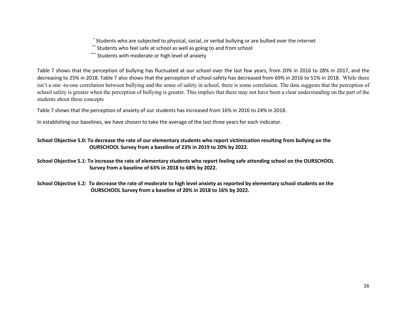\* Students who are subjected to physical, social, or verbal bullying or are bullied over the internet

\*\* Students who feel safe at school as well as going to and from school

\*\*\* Students with moderate or high level of anxiety

Table 7 shows that the perception of bullying has fluctuated at our school over the last few years, from 20% in 2016 to 28% in 2017, and the decreasing to 25% in 2018. Table 7 also shows that the perception of school safety has decreased from 69% in 2016 to 51% in 2018. While there isn't a one -to-one correlation between bullying and the sense of safety in school, there is some correlation. The data suggests that the perception of school safety is greater when the perception of bullying is greater. This implies that there may not have been a clear understanding on the part of the students about these concepts

Table 7 shows that the perception of anxiety of our students has increased from 16% in 2016 to 24% in 2018.

In establishing our baselines, we have chosen to take the average of the last three years for each indicator.

#### **School Objective 5.0: To decrease the rate of our elementary students who report victimization resulting from bullying on the OURSCHOOL Survey from a baseline of 23% in 2019 to 20% by 2022.**

**School Objective 5.1: To increase the rate of elementary students who report feeling safe attending school on the OURSCHOOL Survey from a baseline of 63% in 2018 to 68% by 2022.** 

**School Objective 5.2: To decrease the rate of moderate to high level anxiety as reported by elementary school students on the OURSCHOOL Survey from a baseline of 20% in 2018 to 16% by 2022.**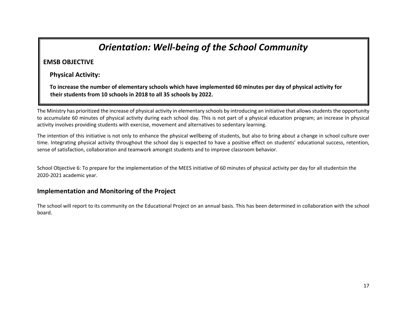## *Orientation: Well-being of the School Community*

#### **EMSB OBJECTIVE**

 **Physical Activity:**

 **To increase the number of elementary schools which have implemented 60 minutes per day of physical activity for their students from 10 schools in 2018 to all 35 schools by 2022.** 

The Ministry has prioritized the increase of physical activity in elementary schools by introducing an initiative that allows students the opportunity to accumulate 60 minutes of physical activity during each school day. This is not part of a physical education program; an increase in physical activity involves providing students with exercise, movement and alternatives to sedentary learning.

The intention of this initiative is not only to enhance the physical wellbeing of students, but also to bring about a change in school culture over time. Integrating physical activity throughout the school day is expected to have a positive effect on students' educational success, retention, sense of satisfaction, collaboration and teamwork amongst students and to improve classroom behavior.

School Objective 6: To prepare for the implementation of the MEES initiative of 60 minutes of physical activity per day for all studentsin the 2020-2021 academic year.

#### **Implementation and Monitoring of the Project**

The school will report to its community on the Educational Project on an annual basis. This has been determined in collaboration with the school board.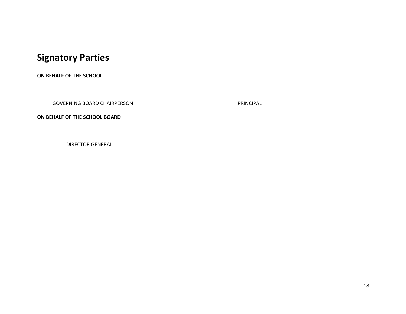## **Signatory Parties**

**ON BEHALF OF THE SCHOOL**

GOVERNING BOARD CHAIRPERSON **PRINCIPAL** 

\_\_\_\_\_\_\_\_\_\_\_\_\_\_\_\_\_\_\_\_\_\_\_\_\_\_\_\_\_\_\_\_\_\_\_\_\_\_\_\_\_\_\_\_\_\_ \_\_\_\_\_\_\_\_\_\_\_\_\_\_\_\_\_\_\_\_\_\_\_\_\_\_\_\_\_\_\_\_\_\_\_\_\_\_\_\_\_\_\_\_\_\_\_\_

**ON BEHALF OF THE SCHOOL BOARD**

DIRECTOR GENERAL

\_\_\_\_\_\_\_\_\_\_\_\_\_\_\_\_\_\_\_\_\_\_\_\_\_\_\_\_\_\_\_\_\_\_\_\_\_\_\_\_\_\_\_\_\_\_\_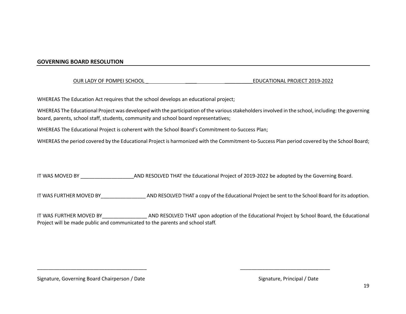#### **GOVERNING BOARD RESOLUTION**

OUR LADY OF POMPEI SCHOOL **EXECUTE A LOCATIONAL PROJECT 2019-2022** 

WHEREAS The Education Act requires that the school develops an educational project;

WHEREAS The Educational Project was developed with the participation of the various stakeholders involved in the school, including: the governing board, parents, school staff, students, community and school board representatives;

WHEREAS The Educational Project is coherent with the School Board's Commitment-to-Success Plan;

WHEREAS the period covered by the Educational Project is harmonized with the Commitment-to-Success Plan period covered by the School Board;

IT WAS MOVED BY **NOWE AND RESOLVED THAT the Educational Project of 2019-2022** be adopted by the Governing Board.

IT WAS FURTHER MOVED BY\_\_\_\_\_\_\_\_\_\_\_\_\_\_\_\_ AND RESOLVED THAT a copy of the Educational Project be sent to the School Board for its adoption.

IT WAS FURTHER MOVED BY\_\_\_\_\_\_\_\_\_\_\_\_\_\_\_\_ AND RESOLVED THAT upon adoption of the Educational Project by School Board, the Educational Project will be made public and communicated to the parents and school staff.

\_\_\_\_\_\_\_\_\_\_\_\_\_\_\_\_\_\_\_\_\_\_\_\_\_\_\_\_\_\_\_\_\_\_\_\_\_\_\_ \_\_\_\_\_\_\_\_\_\_\_\_\_\_\_\_\_\_\_\_\_\_\_\_\_\_\_\_\_\_\_\_

Signature, Governing Board Chairperson / Date Signature, Principal / Date Signature, Principal / Date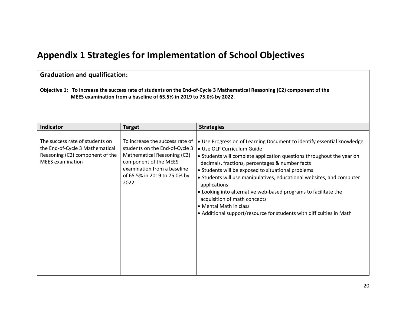## **Appendix 1 Strategies for Implementation of School Objectives**

| <b>Graduation and qualification:</b>                                                                                                                                                            |                                                                                                                                                                                                   |                                                                                                                                                                                                                                                                                                                                                                                                                                                                                                                                                                                      |  |  |  |
|-------------------------------------------------------------------------------------------------------------------------------------------------------------------------------------------------|---------------------------------------------------------------------------------------------------------------------------------------------------------------------------------------------------|--------------------------------------------------------------------------------------------------------------------------------------------------------------------------------------------------------------------------------------------------------------------------------------------------------------------------------------------------------------------------------------------------------------------------------------------------------------------------------------------------------------------------------------------------------------------------------------|--|--|--|
| Objective 1: To increase the success rate of students on the End-of-Cycle 3 Mathematical Reasoning (C2) component of the<br>MEES examination from a baseline of 65.5% in 2019 to 75.0% by 2022. |                                                                                                                                                                                                   |                                                                                                                                                                                                                                                                                                                                                                                                                                                                                                                                                                                      |  |  |  |
| Indicator                                                                                                                                                                                       | <b>Target</b>                                                                                                                                                                                     | <b>Strategies</b>                                                                                                                                                                                                                                                                                                                                                                                                                                                                                                                                                                    |  |  |  |
| The success rate of students on<br>the End-of-Cycle 3 Mathematical<br>Reasoning (C2) component of the<br><b>MEES</b> examination                                                                | To increase the success rate of<br>students on the End-of-Cycle 3<br>Mathematical Reasoning (C2)<br>component of the MEES<br>examination from a baseline<br>of 65.5% in 2019 to 75.0% by<br>2022. | • Use Progression of Learning Document to identify essential knowledge<br>· Use OLP Curriculum Guide<br>• Students will complete application questions throughout the year on<br>decimals, fractions, percentages & number facts<br>• Students will be exposed to situational problems<br>• Students will use manipulatives, educational websites, and computer<br>applications<br>• Looking into alternative web-based programs to facilitate the<br>acquisition of math concepts<br>• Mental Math in class<br>• Additional support/resource for students with difficulties in Math |  |  |  |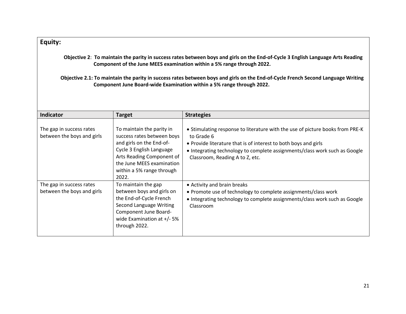#### **Equity:**

 **Objective 2**: **To maintain the parity in success rates between boys and girls on the End-of-Cycle 3 English Language Arts Reading Component of the June MEES examination within a 5% range through 2022.**

 **Objective 2.1: To maintain the parity in success rates between boys and girls on the End-of-Cycle French Second Language Writing Component June Board-wide Examination within a 5% range through 2022.**

| Indicator                                              | <b>Target</b>                                                                                                                                                                                                   | <b>Strategies</b>                                                                                                                                                                                                                                                               |
|--------------------------------------------------------|-----------------------------------------------------------------------------------------------------------------------------------------------------------------------------------------------------------------|---------------------------------------------------------------------------------------------------------------------------------------------------------------------------------------------------------------------------------------------------------------------------------|
| The gap in success rates<br>between the boys and girls | To maintain the parity in<br>success rates between boys<br>and girls on the End-of-<br>Cycle 3 English Language<br>Arts Reading Component of<br>the June MEES examination<br>within a 5% range through<br>2022. | • Stimulating response to literature with the use of picture books from PRE-K<br>to Grade 6<br>• Provide literature that is of interest to both boys and girls<br>• Integrating technology to complete assignments/class work such as Google<br>Classroom, Reading A to Z, etc. |
| The gap in success rates<br>between the boys and girls | To maintain the gap<br>between boys and girls on<br>the End-of-Cycle French<br>Second Language Writing<br>Component June Board-<br>wide Examination at $+/-5\%$<br>through 2022.                                | • Activity and brain breaks<br>• Promote use of technology to complete assignments/class work<br>• Integrating technology to complete assignments/class work such as Google<br>Classroom                                                                                        |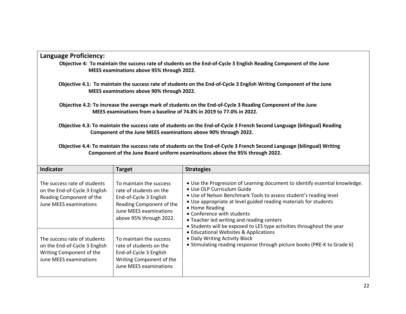| Language Proficiency:                                                                                                                                                                                    |
|----------------------------------------------------------------------------------------------------------------------------------------------------------------------------------------------------------|
| Objective 4: To maintain the success rate of students on the End-of-Cycle 3 English Reading Component of the June<br>MEES examinations above 95% through 2022.                                           |
| Objective 4.1: To maintain the success rate of students on the End-of-Cycle 3 English Writing Component of the June<br>MEES examinations above 90% through 2022.                                         |
| Objective 4.2: To increase the average mark of students on the End-of-Cycle 3 Reading Component of the June<br>MEES examinations from a baseline of 74.8% in 2019 to 77.0% in 2022.                      |
| Objective 4.3: To maintain the success rate of students on the End-of-Cycle 3 French Second Language (bilingual) Reading<br>Component of the June MEES examinations above 90% through 2022.              |
| Objective 4.4: To maintain the success rate of students on the End-of-Cycle 3 French Second Language (bilingual) Writing<br>Component of the June Board uniform examinations above the 95% through 2022. |

| Indicator                                                                                                           | <b>Target</b>                                                                                                                                                 | <b>Strategies</b>                                                                                                                                                                                                                                                                                                                                                                                                                                                                                                                                                              |
|---------------------------------------------------------------------------------------------------------------------|---------------------------------------------------------------------------------------------------------------------------------------------------------------|--------------------------------------------------------------------------------------------------------------------------------------------------------------------------------------------------------------------------------------------------------------------------------------------------------------------------------------------------------------------------------------------------------------------------------------------------------------------------------------------------------------------------------------------------------------------------------|
| The success rate of students<br>on the End-of-Cycle 3 English<br>Reading Component of the<br>June MEES examinations | To maintain the success<br>rate of students on the<br>End-of-Cycle 3 English<br>Reading Component of the<br>June MEES examinations<br>above 95% through 2022. | • Use the Progression of Learning document to identify essential knowledge.<br>• Use OLP Curriculum Guide<br>• Use of Nelson Benchmark Tools to assess student's reading level<br>• Use appropriate at level guided reading materials for students<br>• Home Reading<br>• Conference with students<br>• Teacher led writing and reading centers<br>• Students will be exposed to LES type activities throughout the year<br>• Educational Websites & Applications<br>• Daily Writing Activity Block<br>• Stimulating reading response through picture books (PRE-K to Grade 6) |
| The success rate of students<br>on the End-of-Cycle 3 English<br>Writing Component of the<br>June MEES examinations | To maintain the success<br>rate of students on the<br>End-of-Cycle 3 English<br>Writing Component of the<br>June MEES examinations                            |                                                                                                                                                                                                                                                                                                                                                                                                                                                                                                                                                                                |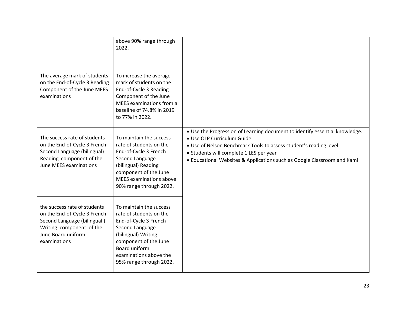|                                                                                                                                                               | above 90% range through<br>2022.                                                                                                                                                                                     |                                                                                                                                                                                                                                                                                                       |
|---------------------------------------------------------------------------------------------------------------------------------------------------------------|----------------------------------------------------------------------------------------------------------------------------------------------------------------------------------------------------------------------|-------------------------------------------------------------------------------------------------------------------------------------------------------------------------------------------------------------------------------------------------------------------------------------------------------|
| The average mark of students<br>on the End-of-Cycle 3 Reading<br>Component of the June MEES<br>examinations                                                   | To increase the average<br>mark of students on the<br>End-of-Cycle 3 Reading<br>Component of the June<br>MEES examinations from a<br>baseline of 74.8% in 2019<br>to 77% in 2022.                                    |                                                                                                                                                                                                                                                                                                       |
| The success rate of students<br>on the End-of-Cycle 3 French<br>Second Language (bilingual)<br>Reading component of the<br>June MEES examinations             | To maintain the success<br>rate of students on the<br>End-of-Cycle 3 French<br>Second Language<br>(bilingual) Reading<br>component of the June<br><b>MEES</b> examinations above<br>90% range through 2022.          | • Use the Progression of Learning document to identify essential knowledge.<br>• Use OLP Curriculum Guide<br>. Use of Nelson Benchmark Tools to assess student's reading level.<br>• Students will complete 1 LES per year<br>• Educational Websites & Applications such as Google Classroom and Kami |
| the success rate of students<br>on the End-of-Cycle 3 French<br>Second Language (bilingual)<br>Writing component of the<br>June Board uniform<br>examinations | To maintain the success<br>rate of students on the<br>End-of-Cycle 3 French<br>Second Language<br>(bilingual) Writing<br>component of the June<br>Board uniform<br>examinations above the<br>95% range through 2022. |                                                                                                                                                                                                                                                                                                       |